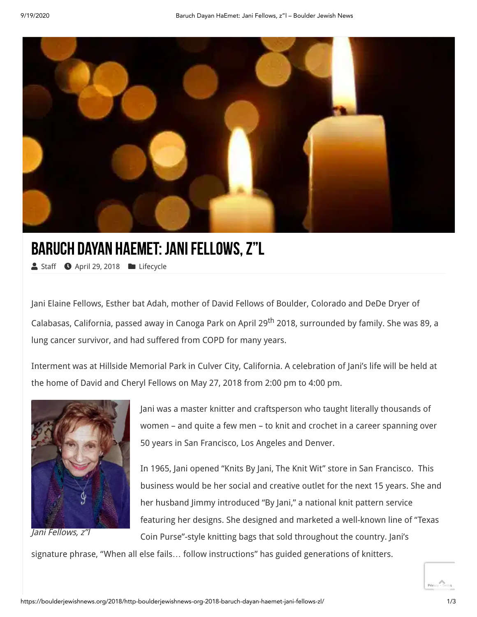

## BARUCH DAYAN HAEMET: JANI FELLOWS, Z"L

[Staff](https://boulderjewishnews.org/author/staff/) C April 29, 2018 [Lifecycle](https://boulderjewishnews.org/category/jewish-life/lifecycle/)

Jani Elaine Fellows, Esther bat Adah, mother of David Fellows of Boulder, Colorado and DeDe Dryer of Calabasas, California, passed away in Canoga Park on April 29th 2018, surrounded by family. She was 89, a lung cancer survivor, and had suffered from COPD for many years.

Interment was at Hillside Memorial Park in Culver City, California. A celebration of Jani's life will be held at the home of David and Cheryl Fellows on May 27, 2018 from 2:00 pm to 4:00 pm.



Jani Fellows, z"l

Jani was a master knitter and craftsperson who taught literally thousands of women – and quite a few men – to knit and crochet in a career spanning over 50 years in San Francisco, Los Angeles and Denver.

In 1965, Jani opened "Knits By Jani, The Knit Wit" store in San Francisco. This business would be her social and creative outlet for the next 15 years. She and her husband Jimmy introduced "By Jani," a national knit pattern service featuring her designs. She designed and marketed a well-known line of "Texas Coin Purse"-style knitting bags that sold throughout the country. Jani's

signature phrase, "When all else fails… follow instructions" has guided generations of knitters.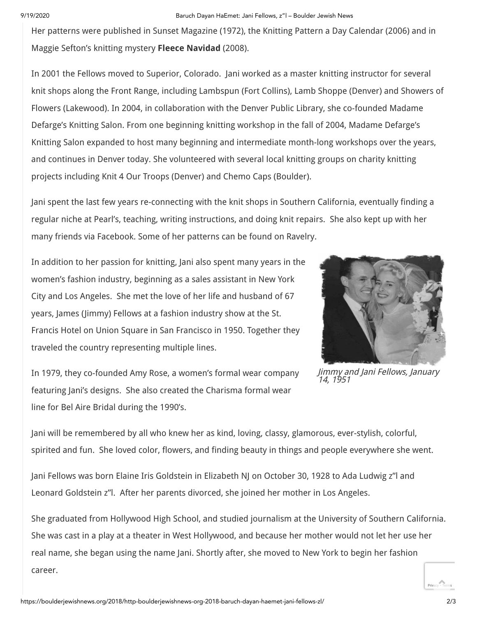## 9/19/2020 Baruch Dayan HaEmet: Jani Fellows, z"l – Boulder Jewish News

Her patterns were published in Sunset Magazine (1972), the Knitting Pattern a Day Calendar (2006) and in Maggie Sefton's knitting mystery **Fleece Navidad** (2008).

In 2001 the Fellows moved to Superior, Colorado. Jani worked as a master knitting instructor for several knit shops along the Front Range, including Lambspun (Fort Collins), Lamb Shoppe (Denver) and Showers of Flowers (Lakewood). In 2004, in collaboration with the Denver Public Library, she co-founded Madame Defarge's Knitting Salon. From one beginning knitting workshop in the fall of 2004, Madame Defarge's Knitting Salon expanded to host many beginning and intermediate month-long workshops over the years, and continues in Denver today. She volunteered with several local knitting groups on charity knitting projects including Knit 4 Our Troops (Denver) and Chemo Caps (Boulder).

Jani spent the last few years re-connecting with the knit shops in Southern California, eventually finding a regular niche at Pearl's, teaching, writing instructions, and doing knit repairs. She also kept up with her many friends via Facebook. Some of her patterns can be found on Ravelry.

In addition to her passion for knitting, Jani also spent many years in the women's fashion industry, beginning as a sales assistant in New York City and Los Angeles. She met the love of her life and husband of 67 years, James (Jimmy) Fellows at a fashion industry show at the St. Francis Hotel on Union Square in San Francisco in 1950. Together they traveled the country representing multiple lines.



Jimmy and Jani Fellows, January 14, 1951

In 1979, they co-founded Amy Rose, a women's formal wear company featuring Jani's designs. She also created the Charisma formal wear line for Bel Aire Bridal during the 1990's.

Jani will be remembered by all who knew her as kind, loving, classy, glamorous, ever-stylish, colorful, spirited and fun. She loved color, flowers, and finding beauty in things and people everywhere she went.

Jani Fellows was born Elaine Iris Goldstein in Elizabeth NJ on October 30, 1928 to Ada Ludwig z"l and Leonard Goldstein z"l. After her parents divorced, she joined her mother in Los Angeles.

She graduated from Hollywood High School, and studied journalism at the University of Southern California. She was cast in a play at a theater in West Hollywood, and because her mother would not let her use her real name, she began using the name Jani. Shortly after, she moved to New York to begin her fashion career.

[Privacy](https://www.google.com/intl/en/policies/privacy/) - [Terms](https://www.google.com/intl/en/policies/terms/)